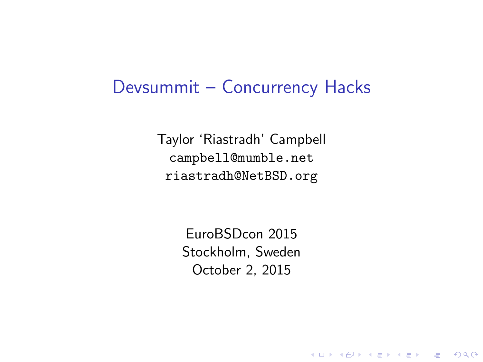#### Devsummit – Concurrency Hacks

Taylor 'Riastradh' Campbell campbell@mumble.net riastradh@NetBSD.org

> EuroBSDcon 2015 Stockholm, Sweden October 2, 2015

> > K ロ ▶ K @ ▶ K 할 > K 할 > 1 할 > 1 이익어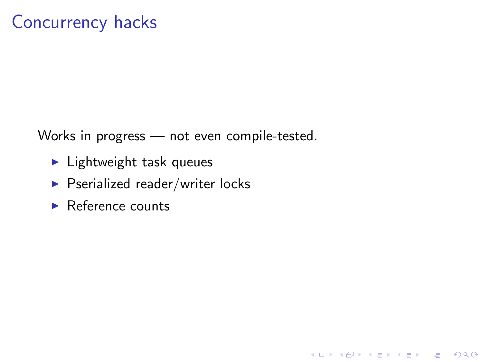## Concurrency hacks

Works in progress — not even compile-tested.

**K ロ ▶ K @ ▶ K 할 X X 할 X 및 할 X X Q Q O \*** 

- $\blacktriangleright$  Lightweight task queues
- $\blacktriangleright$  Pserialized reader/writer locks
- $\blacktriangleright$  Reference counts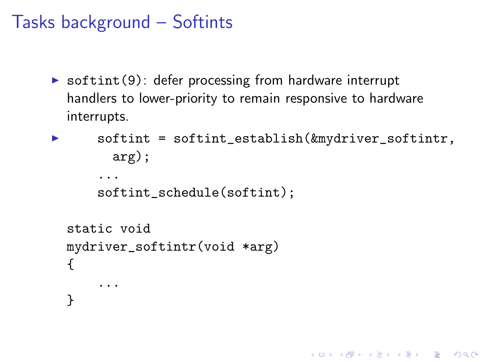## Tasks background – Softints

 $\triangleright$  softint(9): defer processing from hardware interrupt handlers to lower-priority to remain responsive to hardware interrupts.

```
\triangleright softint = softint_establish(\&mydriver_softintr,
         arg);
       ...
      softint_schedule(softint);
  static void
  mydriver_softintr(void *arg)
  {
       ...
  }
```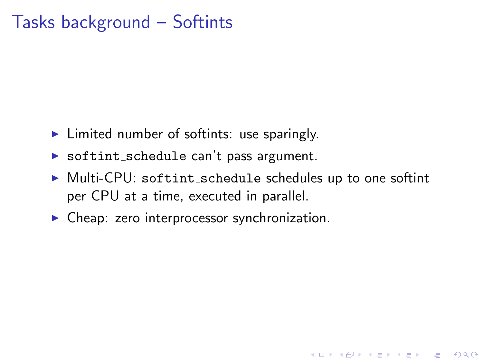## Tasks background – Softints

- $\blacktriangleright$  Limited number of softints: use sparingly.
- $\triangleright$  softint schedule can't pass argument.
- ▶ Multi-CPU: softint\_schedule schedules up to one softint per CPU at a time, executed in parallel.

**KORKA SERKER ORA** 

 $\triangleright$  Cheap: zero interprocessor synchronization.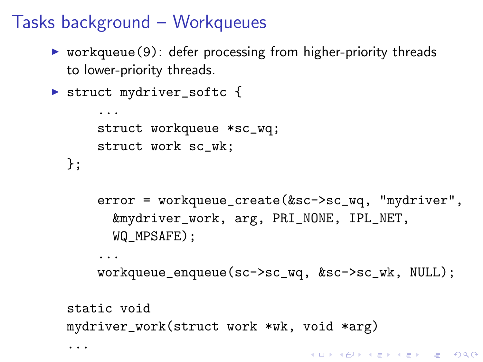# Tasks background – Workqueues

- $\triangleright$  workqueue(9): defer processing from higher-priority threads to lower-priority threads.
- ▶ struct mydriver\_softc {

...

```
...
    struct workqueue *sc_wq;
    struct work sc_wk;
};
```

```
error = workqueue_create(&sc->sc_wq, "mydriver",
  &mydriver_work, arg, PRI_NONE, IPL_NET,
  WQ MPSAFE):
```

```
...
workqueue_enqueue(sc->sc_wq, &sc->sc_wk, NULL);
```

```
static void
mydriver_work(struct work *wk, void *arg)
```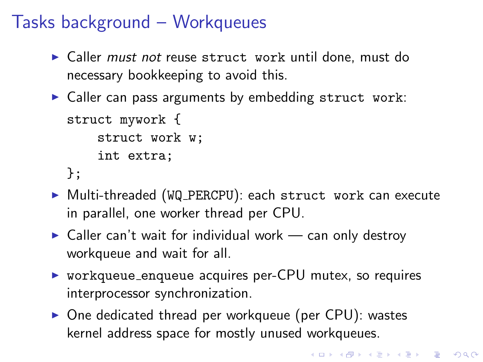# Tasks background – Workqueues

- $\triangleright$  Caller *must not* reuse struct work until done, must do necessary bookkeeping to avoid this.
- $\triangleright$  Caller can pass arguments by embedding struct work:

```
struct mywork {
    struct work w;
    int extra;
};
```
- ▶ Multi-threaded (WQ\_PERCPU): each struct work can execute in parallel, one worker thread per CPU.
- $\triangleright$  Caller can't wait for individual work can only destroy workqueue and wait for all.
- $\triangleright$  workqueue enqueue acquires per-CPU mutex, so requires interprocessor synchronization.
- $\triangleright$  One dedicated thread per workqueue (per CPU): wastes kernel address space for mostly unused workqueues.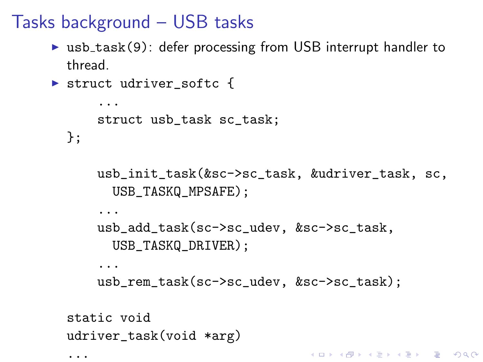# Tasks background – USB tasks

- $\triangleright$  usb\_task(9): defer processing from USB interrupt handler to thread.
- ▶ struct udriver\_softc {

...

```
...
    struct usb_task sc_task;
};
    usb_init_task(&sc->sc_task, &udriver_task, sc,
      USB_TASKQ_MPSAFE):
    ...
    usb_add_task(sc->sc_udev, &sc->sc_task,
      USB_TASKQ_DRIVER);
    ...
    usb_rem_task(sc->sc_udev, &sc->sc_task);
static void
udriver_task(void *arg)
                                KORKA SERKER ORA
```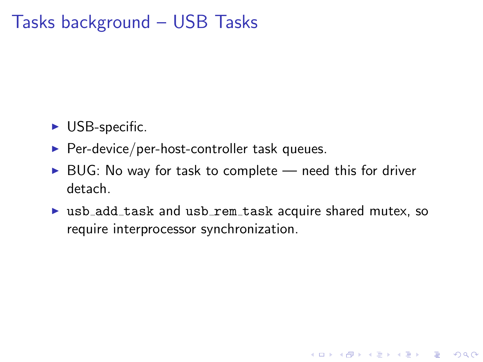## Tasks background – USB Tasks

- $\triangleright$  USB-specific.
- $\blacktriangleright$  Per-device/per-host-controller task queues.
- $\triangleright$  BUG: No way for task to complete need this for driver detach.
- $\triangleright$  usb add task and usb rem task acquire shared mutex, so require interprocessor synchronization.

K ロ ▶ K @ ▶ K 할 > K 할 > 1 할 > 1 이익어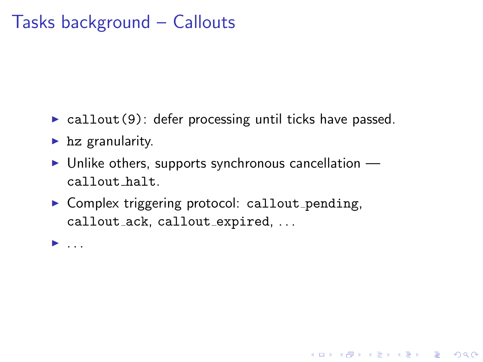## Tasks background – Callouts

- $\triangleright$  callout (9): defer processing until ticks have passed.
- $\blacktriangleright$  hz granularity.
- $\triangleright$  Unlike others, supports synchronous cancellation callout halt.

**KORKA SERKER ORA** 

 $\triangleright$  Complex triggering protocol: callout pending, callout\_ack, callout\_expired, ...

 $\blacktriangleright$  ...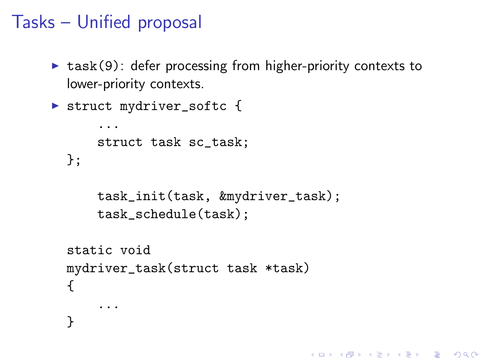## Tasks – Unified proposal

 $\triangleright$  task(9): defer processing from higher-priority contexts to lower-priority contexts.

```
▶ struct mydriver_softc {
      ...
      struct task sc_task;
 };
      task_init(task, &mydriver_task);
      task_schedule(task);
  static void
  mydriver_task(struct task *task)
  {
      ...
  }
```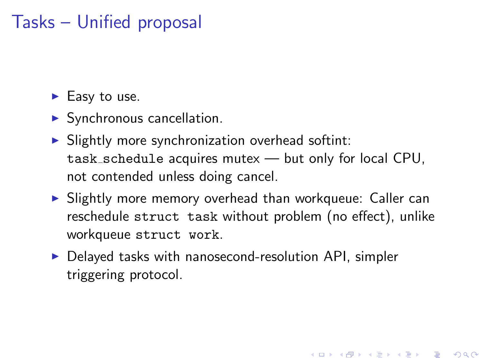# Tasks – Unified proposal

 $\blacktriangleright$  Easy to use.

- $\blacktriangleright$  Synchronous cancellation.
- $\triangleright$  Slightly more synchronization overhead softint: task schedule acquires mutex — but only for local CPU, not contended unless doing cancel.
- $\triangleright$  Slightly more memory overhead than workqueue: Caller can reschedule struct task without problem (no effect), unlike workqueue struct work.

4 D > 4 P + 4 B + 4 B + B + 9 Q O

 $\triangleright$  Delayed tasks with nanosecond-resolution API, simpler triggering protocol.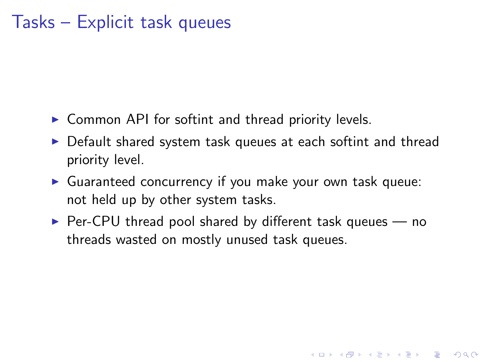#### Tasks – Explicit task queues

- $\triangleright$  Common API for softint and thread priority levels.
- $\triangleright$  Default shared system task queues at each softint and thread priority level.
- $\triangleright$  Guaranteed concurrency if you make your own task queue: not held up by other system tasks.
- $\triangleright$  Per-CPU thread pool shared by different task queues  $-$  no threads wasted on mostly unused task queues.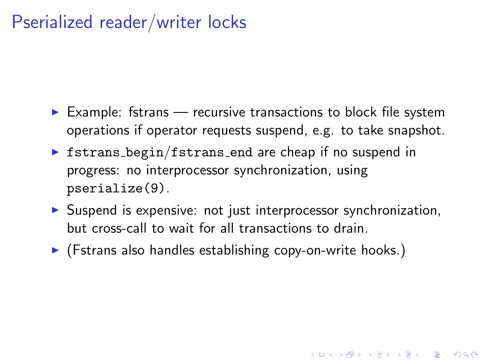## Pserialized reader/writer locks

- $\triangleright$  Example: fstrans recursive transactions to block file system operations if operator requests suspend, e.g. to take snapshot.
- $\triangleright$  fstrans begin/fstrans end are cheap if no suspend in progress: no interprocessor synchronization, using pserialize(9).
- $\triangleright$  Suspend is expensive: not just interprocessor synchronization, but cross-call to wait for all transactions to drain.

4 D > 4 P + 4 B + 4 B + B + 9 Q O

 $\blacktriangleright$  (Fstrans also handles establishing copy-on-write hooks.)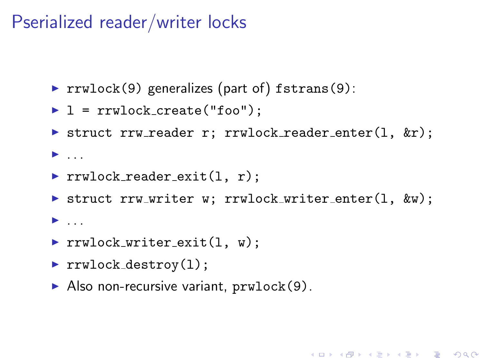### Pserialized reader/writer locks

- rrwlock(9) generalizes (part of) fstrans(9):
- $\blacktriangleright$  1 = rrwlock\_create("foo");
- Struct rrw\_reader r; rrwlock\_reader\_enter(1,  $kr$ );
- $\blacktriangleright$  ...
- $\triangleright$  rrwlock reader exit(1, r);
- Struct rrw\_writer w; rrwlock\_writer\_enter(1,  $kw$ );

- $\blacktriangleright$  ...
- rrwlock\_writer\_exit $(1, w)$ ;
- rrwlock\_destroy $(1)$ ;
- $\blacktriangleright$  Also non-recursive variant, prwlock(9).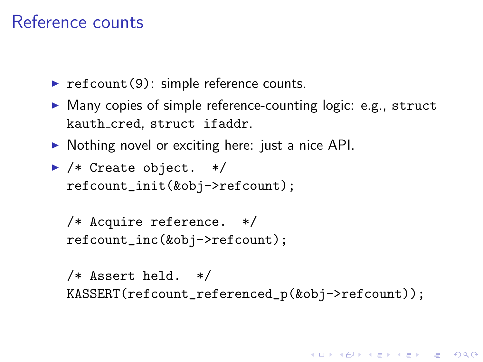#### Reference counts

- refcount(9): simple reference counts.
- $\triangleright$  Many copies of simple reference-counting logic: e.g., struct kauth cred, struct ifaddr.
- $\triangleright$  Nothing novel or exciting here: just a nice API.
- $\blacktriangleright$  /\* Create object. \*/ refcount\_init(&obj->refcount);

```
/* Acquire reference. */
refcount_inc(&obj->refcount);
```
/\* Assert held. \*/ KASSERT(refcount\_referenced\_p(&obj->refcount));

**K ロ ▶ K @ ▶ K 할 X X 할 X → 할 X → 9 Q Q ^**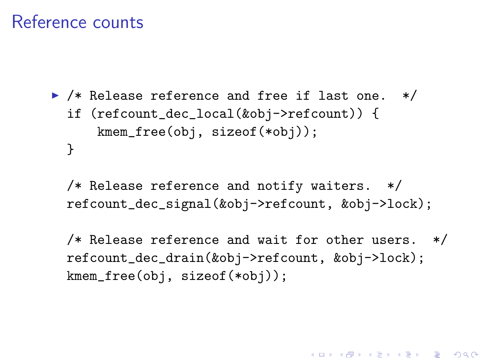#### Reference counts

```
▶ /* Release reference and free if last one. */
 if (refcount_dec_local(&obj->refcount)) {
     kmem_free(obj, sizeof(*obj));
 }
```
/\* Release reference and notify waiters. \*/ refcount\_dec\_signal(&obj->refcount, &obj->lock);

/\* Release reference and wait for other users. \*/ refcount\_dec\_drain(&obj->refcount, &obj->lock); kmem\_free(obj, sizeof(\*obj));